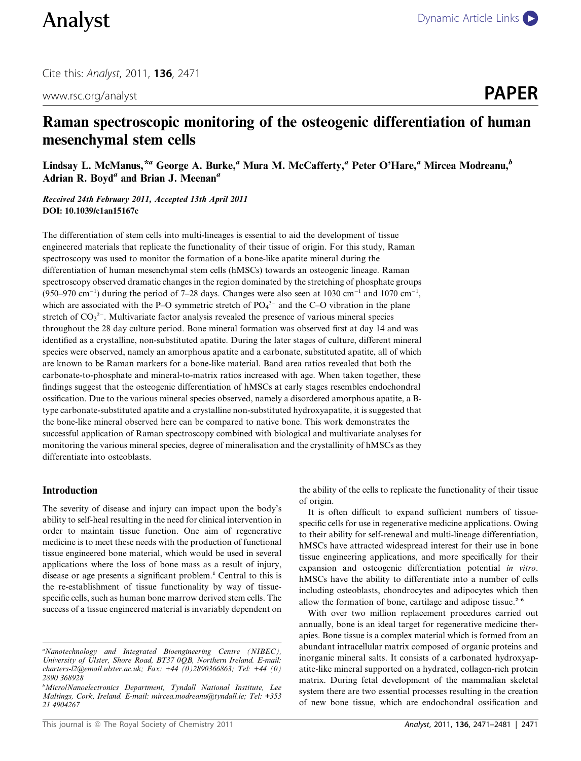Cite this: Analyst, 2011, <sup>136</sup>, 2471

www.rsc.org/analyst **PAPER** 

# Raman spectroscopic monitoring of the osteogenic differentiation of human mesenchymal stem cells

Lindsay L. McManus,<sup>\*a</sup> George A. Burke,<sup>a</sup> Mura M. McCafferty,<sup>a</sup> Peter O'Hare,<sup>a</sup> Mircea Modreanu,<sup>b</sup> Adrian R. Boyd<sup>a</sup> and Brian J. Meenan<sup>a</sup>

Received 24th February 2011, Accepted 13th April 2011 DOI: 10.1039/c1an15167c

The differentiation of stem cells into multi-lineages is essential to aid the development of tissue engineered materials that replicate the functionality of their tissue of origin. For this study, Raman spectroscopy was used to monitor the formation of a bone-like apatite mineral during the differentiation of human mesenchymal stem cells (hMSCs) towards an osteogenic lineage. Raman spectroscopy observed dramatic changes in the region dominated by the stretching of phosphate groups  $(950-970 \text{ cm}^{-1})$  during the period of 7–28 days. Changes were also seen at 1030 cm<sup>-1</sup> and 1070 cm<sup>-1</sup>, which are associated with the P–O symmetric stretch of  $PO<sub>4</sub><sup>3-</sup>$  and the C–O vibration in the plane stretch of  $CO<sub>3</sub><sup>2</sup>$ . Multivariate factor analysis revealed the presence of various mineral species throughout the 28 day culture period. Bone mineral formation was observed first at day 14 and was identified as a crystalline, non-substituted apatite. During the later stages of culture, different mineral species were observed, namely an amorphous apatite and a carbonate, substituted apatite, all of which are known to be Raman markers for a bone-like material. Band area ratios revealed that both the carbonate-to-phosphate and mineral-to-matrix ratios increased with age. When taken together, these findings suggest that the osteogenic differentiation of hMSCs at early stages resembles endochondral ossification. Due to the various mineral species observed, namely a disordered amorphous apatite, a Btype carbonate-substituted apatite and a crystalline non-substituted hydroxyapatite, it is suggested that the bone-like mineral observed here can be compared to native bone. This work demonstrates the successful application of Raman spectroscopy combined with biological and multivariate analyses for monitoring the various mineral species, degree of mineralisation and the crystallinity of hMSCs as they differentiate into osteoblasts.

## Introduction

The severity of disease and injury can impact upon the body's ability to self-heal resulting in the need for clinical intervention in order to maintain tissue function. One aim of regenerative medicine is to meet these needs with the production of functional tissue engineered bone material, which would be used in several applications where the loss of bone mass as a result of injury, disease or age presents a significant problem.<sup>1</sup> Central to this is the re-establishment of tissue functionality by way of tissuespecific cells, such as human bone marrow derived stem cells. The success of a tissue engineered material is invariably dependent on

the ability of the cells to replicate the functionality of their tissue of origin.

It is often difficult to expand sufficient numbers of tissuespecific cells for use in regenerative medicine applications. Owing to their ability for self-renewal and multi-lineage differentiation, hMSCs have attracted widespread interest for their use in bone tissue engineering applications, and more specifically for their expansion and osteogenic differentiation potential in vitro. hMSCs have the ability to differentiate into a number of cells including osteoblasts, chondrocytes and adipocytes which then allow the formation of bone, cartilage and adipose tissue. $2-6$ 

With over two million replacement procedures carried out annually, bone is an ideal target for regenerative medicine therapies. Bone tissue is a complex material which is formed from an abundant intracellular matrix composed of organic proteins and inorganic mineral salts. It consists of a carbonated hydroxyapatite-like mineral supported on a hydrated, collagen-rich protein matrix. During fetal development of the mammalian skeletal system there are two essential processes resulting in the creation of new bone tissue, which are endochondral ossification and

<sup>&</sup>lt;sup>a</sup>Nanotechnology and Integrated Bioengineering Centre (NIBEC), University of Ulster, Shore Road, BT37 0QB, Northern Ireland. E-mail: charters-l2@email.ulster.ac.uk; Fax: +44 (0)2890366863; Tel: +44 (0) 2890 368928

<sup>&</sup>lt;sup>b</sup>Micro/Nanoelectronics Department, Tyndall National Institute, Lee Maltings, Cork, Ireland. E-mail: mircea.modreanu@tyndall.ie; Tel: +353 21 4904267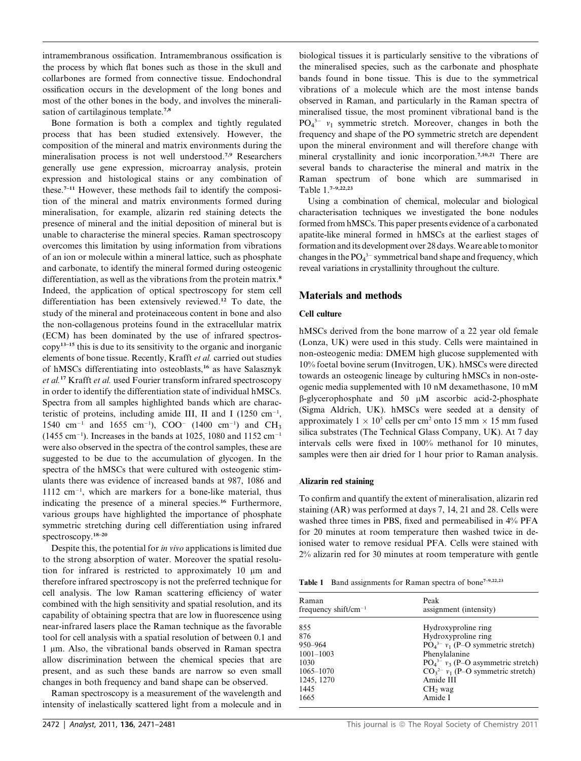intramembranous ossification. Intramembranous ossification is the process by which flat bones such as those in the skull and collarbones are formed from connective tissue. Endochondral ossification occurs in the development of the long bones and most of the other bones in the body, and involves the mineralisation of cartilaginous template.<sup>7,8</sup>

Bone formation is both a complex and tightly regulated process that has been studied extensively. However, the composition of the mineral and matrix environments during the mineralisation process is not well understood.7,9 Researchers generally use gene expression, microarray analysis, protein expression and histological stains or any combination of these.7–11 However, these methods fail to identify the composition of the mineral and matrix environments formed during mineralisation, for example, alizarin red staining detects the presence of mineral and the initial deposition of mineral but is unable to characterise the mineral species. Raman spectroscopy overcomes this limitation by using information from vibrations of an ion or molecule within a mineral lattice, such as phosphate and carbonate, to identify the mineral formed during osteogenic differentiation, as well as the vibrations from the protein matrix.<sup>8</sup> Indeed, the application of optical spectroscopy for stem cell differentiation has been extensively reviewed.<sup>12</sup> To date, the study of the mineral and proteinaceous content in bone and also the non-collagenous proteins found in the extracellular matrix (ECM) has been dominated by the use of infrared spectroscopy13–15 this is due to its sensitivity to the organic and inorganic elements of bone tissue. Recently, Krafft et al. carried out studies of hMSCs differentiating into osteoblasts,<sup>16</sup> as have Salasznyk et al.<sup>17</sup> Krafft et al. used Fourier transform infrared spectroscopy in order to identify the differentiation state of individual hMSCs. Spectra from all samples highlighted bands which are characteristic of proteins, including amide III, II and I  $(1250 \text{ cm}^{-1})$ , 1540 cm<sup>-1</sup> and 1655 cm<sup>-1</sup>), COO<sup>-</sup> (1400 cm<sup>-1</sup>) and CH<sub>3</sub>  $(1455 \text{ cm}^{-1})$ . Increases in the bands at 1025, 1080 and 1152 cm<sup>-1</sup> were also observed in the spectra of the control samples, these are suggested to be due to the accumulation of glycogen. In the spectra of the hMSCs that were cultured with osteogenic stimulants there was evidence of increased bands at 987, 1086 and  $1112 \text{ cm}^{-1}$ , which are markers for a bone-like material, thus indicating the presence of a mineral species.<sup>16</sup> Furthermore, various groups have highlighted the importance of phosphate symmetric stretching during cell differentiation using infrared spectroscopy.18–20

Despite this, the potential for in vivo applications is limited due to the strong absorption of water. Moreover the spatial resolution for infrared is restricted to approximately  $10 \mu m$  and therefore infrared spectroscopy is not the preferred technique for cell analysis. The low Raman scattering efficiency of water combined with the high sensitivity and spatial resolution, and its capability of obtaining spectra that are low in fluorescence using near-infrared lasers place the Raman technique as the favorable tool for cell analysis with a spatial resolution of between 0.1 and 1 µm. Also, the vibrational bands observed in Raman spectra allow discrimination between the chemical species that are present, and as such these bands are narrow so even small changes in both frequency and band shape can be observed.

Raman spectroscopy is a measurement of the wavelength and intensity of inelastically scattered light from a molecule and in

biological tissues it is particularly sensitive to the vibrations of the mineralised species, such as the carbonate and phosphate bands found in bone tissue. This is due to the symmetrical vibrations of a molecule which are the most intense bands observed in Raman, and particularly in the Raman spectra of mineralised tissue, the most prominent vibrational band is the  $PO<sub>4</sub><sup>3-</sup> v<sub>1</sub>$  symmetric stretch. Moreover, changes in both the frequency and shape of the PO symmetric stretch are dependent upon the mineral environment and will therefore change with mineral crystallinity and ionic incorporation.<sup>7,10,21</sup> There are several bands to characterise the mineral and matrix in the Raman spectrum of bone which are summarised in Table 1.7–9,22,23

Using a combination of chemical, molecular and biological characterisation techniques we investigated the bone nodules formed from hMSCs. This paper presents evidence of a carbonated apatite-like mineral formed in hMSCs at the earliest stages of formation and its development over 28 days.We are able tomonitor changes in the  $PO_4^3$  symmetrical band shape and frequency, which reveal variations in crystallinity throughout the culture.

## Materials and methods

## Cell culture

hMSCs derived from the bone marrow of a 22 year old female (Lonza, UK) were used in this study. Cells were maintained in non-osteogenic media: DMEM high glucose supplemented with 10% foetal bovine serum (Invitrogen, UK). hMSCs were directed towards an osteogenic lineage by culturing hMSCs in non-osteogenic media supplemented with 10 nM dexamethasone, 10 mM  $\beta$ -glycerophosphate and 50  $\mu$ M ascorbic acid-2-phosphate (Sigma Aldrich, UK). hMSCs were seeded at a density of approximately  $1 \times 10^5$  cells per cm<sup>2</sup> onto 15 mm  $\times$  15 mm fused silica substrates (The Technical Glass Company, UK). At 7 day intervals cells were fixed in 100% methanol for 10 minutes, samples were then air dried for 1 hour prior to Raman analysis.

#### Alizarin red staining

To confirm and quantify the extent of mineralisation, alizarin red staining (AR) was performed at days 7, 14, 21 and 28. Cells were washed three times in PBS, fixed and permeabilised in 4% PFA for 20 minutes at room temperature then washed twice in deionised water to remove residual PFA. Cells were stained with 2% alizarin red for 30 minutes at room temperature with gentle

Table 1 Band assignments for Raman spectra of bone<sup> $7-9,22,23$ </sup>

| Raman                            | Peak                                      |
|----------------------------------|-------------------------------------------|
| frequency shift/cm <sup>-1</sup> | assignment (intensity)                    |
| 855                              | Hydroxyproline ring                       |
| 876                              | Hydroxyproline ring                       |
| 950-964                          | $PQ_4^{3-}v_1$ (P–O symmetric stretch)    |
| $1001 - 1003$                    | Phenylalanine                             |
| 1030                             | $PO43- v3 (P-O asymmetric stretch)$       |
| $1065 - 1070$                    | $CO_3^{2-}$ $v_1$ (P–O symmetric stretch) |
| 1245, 1270                       | Amide III                                 |
| 1445                             | $CH2$ wag                                 |
| 1665                             | Amide I                                   |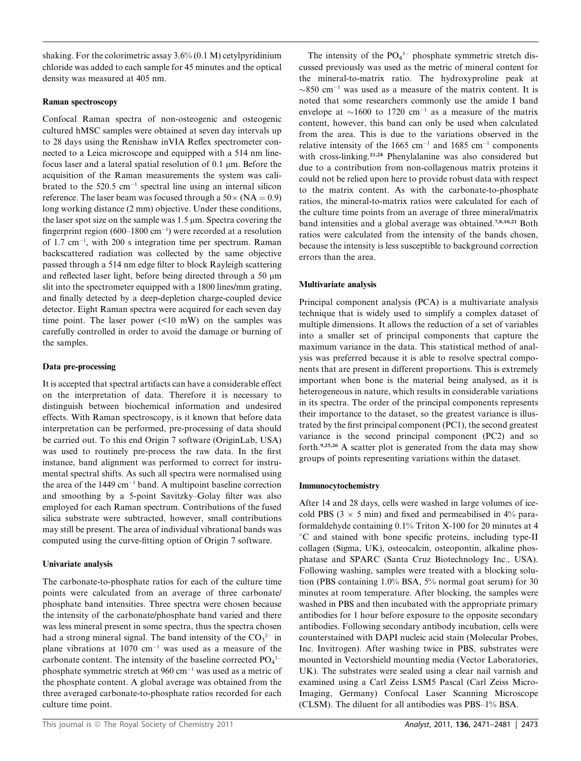shaking. For the colorimetric assay 3.6% (0.1 M) cetylpyridinium chloride was added to each sample for 45 minutes and the optical density was measured at 405 nm.

# Raman spectroscopy

Confocal Raman spectra of non-osteogenic and osteogenic cultured hMSC samples were obtained at seven day intervals up to 28 days using the Renishaw inVIA Reflex spectrometer connected to a Leica microscope and equipped with a 514 nm linefocus laser and a lateral spatial resolution of  $0.1 \mu m$ . Before the acquisition of the Raman measurements the system was calibrated to the  $520.5 \text{ cm}^{-1}$  spectral line using an internal silicon reference. The laser beam was focused through a  $50 \times (NA = 0.9)$ long working distance (2 mm) objective. Under these conditions, the laser spot size on the sample was  $1.5 \mu m$ . Spectra covering the fingerprint region (600–1800 cm<sup>-1</sup>) were recorded at a resolution of  $1.7 \text{ cm}^{-1}$ , with  $200 \text{ s}$  integration time per spectrum. Raman backscattered radiation was collected by the same objective passed through a 514 nm edge filter to block Rayleigh scattering and reflected laser light, before being directed through a 50 µm slit into the spectrometer equipped with a 1800 lines/mm grating, and finally detected by a deep-depletion charge-coupled device detector. Eight Raman spectra were acquired for each seven day time point. The laser power (<10 mW) on the samples was carefully controlled in order to avoid the damage or burning of the samples.

# Data pre-processing

It is accepted that spectral artifacts can have a considerable effect on the interpretation of data. Therefore it is necessary to distinguish between biochemical information and undesired effects. With Raman spectroscopy, is it known that before data interpretation can be performed, pre-processing of data should be carried out. To this end Origin 7 software (OriginLab, USA) was used to routinely pre-process the raw data. In the first instance, band alignment was performed to correct for instrumental spectral shifts. As such all spectra were normalised using the area of the  $1449 \text{ cm}^{-1}$  band. A multipoint baseline correction and smoothing by a 5-point Savitzky–Golay filter was also employed for each Raman spectrum. Contributions of the fused silica substrate were subtracted, however, small contributions may still be present. The area of individual vibrational bands was computed using the curve-fitting option of Origin 7 software.

# Univariate analysis

The carbonate-to-phosphate ratios for each of the culture time points were calculated from an average of three carbonate/ phosphate band intensities. Three spectra were chosen because the intensity of the carbonate/phosphate band varied and there was less mineral present in some spectra, thus the spectra chosen had a strong mineral signal. The band intensity of the  $CO_3^2$  in plane vibrations at  $1070 \text{ cm}^{-1}$  was used as a measure of the carbonate content. The intensity of the baseline corrected  $PO_4^3$ phosphate symmetric stretch at  $960 \text{ cm}^{-1}$  was used as a metric of the phosphate content. A global average was obtained from the three averaged carbonate-to-phosphate ratios recorded for each culture time point.

The intensity of the  $PO_4^{3-}$  phosphate symmetric stretch discussed previously was used as the metric of mineral content for the mineral-to-matrix ratio. The hydroxyproline peak at  $\sim$ 850 cm<sup>-1</sup> was used as a measure of the matrix content. It is noted that some researchers commonly use the amide I band envelope at  $\sim$ 1600 to 1720 cm<sup>-1</sup> as a measure of the matrix content, however, this band can only be used when calculated from the area. This is due to the variations observed in the relative intensity of the 1665 cm<sup>-1</sup> and 1685 cm<sup>-1</sup> components with cross-linking.<sup>21,24</sup> Phenylalanine was also considered but due to a contribution from non-collagenous matrix proteins it could not be relied upon here to provide robust data with respect to the matrix content. As with the carbonate-to-phosphate ratios, the mineral-to-matrix ratios were calculated for each of the culture time points from an average of three mineral/matrix band intensities and a global average was obtained.7,8,10,21 Both ratios were calculated from the intensity of the bands chosen, because the intensity is less susceptible to background correction errors than the area.

# Multivariate analysis

Principal component analysis (PCA) is a multivariate analysis technique that is widely used to simplify a complex dataset of multiple dimensions. It allows the reduction of a set of variables into a smaller set of principal components that capture the maximum variance in the data. This statistical method of analysis was preferred because it is able to resolve spectral components that are present in different proportions. This is extremely important when bone is the material being analysed, as it is heterogeneous in nature, which results in considerable variations in its spectra. The order of the principal components represents their importance to the dataset, so the greatest variance is illustrated by the first principal component (PC1), the second greatest variance is the second principal component (PC2) and so forth.9,25,26 A scatter plot is generated from the data may show groups of points representing variations within the dataset.

## Immunocytochemistry

After 14 and 28 days, cells were washed in large volumes of icecold PBS ( $3 \times 5$  min) and fixed and permeabilised in 4% paraformaldehyde containing 0.1% Triton X-100 for 20 minutes at 4 C and stained with bone specific proteins, including type-II collagen (Sigma, UK), osteocalcin, osteopontin, alkaline phosphatase and SPARC (Santa Cruz Biotechnology Inc., USA). Following washing, samples were treated with a blocking solution (PBS containing 1.0% BSA, 5% normal goat serum) for 30 minutes at room temperature. After blocking, the samples were washed in PBS and then incubated with the appropriate primary antibodies for 1 hour before exposure to the opposite secondary antibodies. Following secondary antibody incubation, cells were counterstained with DAPI nucleic acid stain (Molecular Probes, Inc. Invitrogen). After washing twice in PBS, substrates were mounted in Vectorshield mounting media (Vector Laboratories, UK). The substrates were sealed using a clear nail varnish and examined using a Carl Zeiss LSM5 Pascal (Carl Zeiss Micro-Imaging, Germany) Confocal Laser Scanning Microscope (CLSM). The diluent for all antibodies was PBS–1% BSA.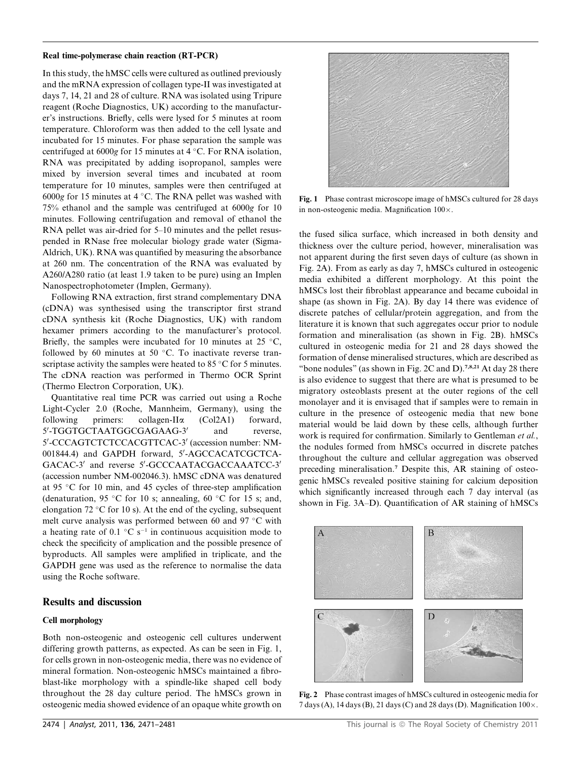#### Real time-polymerase chain reaction (RT-PCR)

In this study, the hMSC cells were cultured as outlined previously and the mRNA expression of collagen type-II was investigated at days 7, 14, 21 and 28 of culture. RNA was isolated using Tripure reagent (Roche Diagnostics, UK) according to the manufacturer's instructions. Briefly, cells were lysed for 5 minutes at room temperature. Chloroform was then added to the cell lysate and incubated for 15 minutes. For phase separation the sample was centrifuged at 6000g for 15 minutes at  $4^{\circ}$ C. For RNA isolation, RNA was precipitated by adding isopropanol, samples were mixed by inversion several times and incubated at room temperature for 10 minutes, samples were then centrifuged at 6000g for 15 minutes at 4 °C. The RNA pellet was washed with 75% ethanol and the sample was centrifuged at 6000g for 10 minutes. Following centrifugation and removal of ethanol the RNA pellet was air-dried for 5–10 minutes and the pellet resuspended in RNase free molecular biology grade water (Sigma-Aldrich, UK). RNA was quantified by measuring the absorbance at 260 nm. The concentration of the RNA was evaluated by A260/A280 ratio (at least 1.9 taken to be pure) using an Implen Nanospectrophotometer (Implen, Germany).

Following RNA extraction, first strand complementary DNA (cDNA) was synthesised using the transcriptor first strand cDNA synthesis kit (Roche Diagnostics, UK) with random hexamer primers according to the manufacturer's protocol. Briefly, the samples were incubated for 10 minutes at 25  $\,^{\circ}$ C, followed by 60 minutes at 50  $^{\circ}$ C. To inactivate reverse transcriptase activity the samples were heated to 85  $\degree$ C for 5 minutes. The cDNA reaction was performed in Thermo OCR Sprint (Thermo Electron Corporation, UK).

Quantitative real time PCR was carried out using a Roche Light-Cycler 2.0 (Roche, Mannheim, Germany), using the following primers: collagen-IIa (Col2A1) forward, 5'-TGGTGCTAATGGCGAGAAG-3' and reverse, 5'-CCCAGTCTCTCCACGTTCAC-3' (accession number: NM-001844.4) and GAPDH forward, 5'-AGCCACATCGCTCA-GACAC-3' and reverse 5'-GCCCAATACGACCAAATCC-3' (accession number NM-002046.3). hMSC cDNA was denatured at 95 °C for 10 min, and 45 cycles of three-step amplification (denaturation, 95 °C for 10 s; annealing, 60 °C for 15 s; and, elongation 72 °C for 10 s). At the end of the cycling, subsequent melt curve analysis was performed between 60 and 97  $^{\circ}$ C with a heating rate of 0.1  $\degree$ C s<sup>-1</sup> in continuous acquisition mode to check the specificity of amplication and the possible presence of byproducts. All samples were amplified in triplicate, and the GAPDH gene was used as the reference to normalise the data using the Roche software.

## Results and discussion

#### Cell morphology

Both non-osteogenic and osteogenic cell cultures underwent differing growth patterns, as expected. As can be seen in Fig. 1, for cells grown in non-osteogenic media, there was no evidence of mineral formation. Non-osteogenic hMSCs maintained a fibroblast-like morphology with a spindle-like shaped cell body throughout the 28 day culture period. The hMSCs grown in osteogenic media showed evidence of an opaque white growth on



Fig. 1 Phase contrast microscope image of hMSCs cultured for 28 days in non-osteogenic media. Magnification  $100\times$ .

the fused silica surface, which increased in both density and thickness over the culture period, however, mineralisation was not apparent during the first seven days of culture (as shown in Fig. 2A). From as early as day 7, hMSCs cultured in osteogenic media exhibited a different morphology. At this point the hMSCs lost their fibroblast appearance and became cuboidal in shape (as shown in Fig. 2A). By day 14 there was evidence of discrete patches of cellular/protein aggregation, and from the literature it is known that such aggregates occur prior to nodule formation and mineralisation (as shown in Fig. 2B). hMSCs cultured in osteogenic media for 21 and 28 days showed the formation of dense mineralised structures, which are described as "bone nodules" (as shown in Fig. 2C and D).<sup>7,8,21</sup> At day 28 there is also evidence to suggest that there are what is presumed to be migratory osteoblasts present at the outer regions of the cell monolayer and it is envisaged that if samples were to remain in culture in the presence of osteogenic media that new bone material would be laid down by these cells, although further work is required for confirmation. Similarly to Gentleman et al., the nodules formed from hMSCs occurred in discrete patches throughout the culture and cellular aggregation was observed preceding mineralisation.<sup>7</sup> Despite this, AR staining of osteogenic hMSCs revealed positive staining for calcium deposition which significantly increased through each 7 day interval (as shown in Fig. 3A–D). Quantification of AR staining of hMSCs



Fig. 2 Phase contrast images of hMSCs cultured in osteogenic media for 7 days (A), 14 days (B), 21 days (C) and 28 days (D). Magnification  $100 \times$ .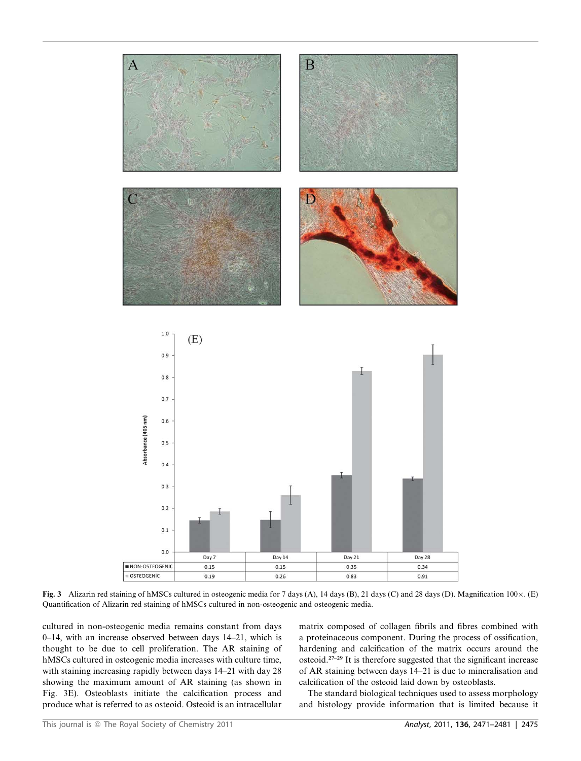

Fig. 3 Alizarin red staining of hMSCs cultured in osteogenic media for 7 days (A), 14 days (B), 21 days (C) and 28 days (D). Magnification 100 $\times$ . (E) Quantification of Alizarin red staining of hMSCs cultured in non-osteogenic and osteogenic media.

cultured in non-osteogenic media remains constant from days 0–14, with an increase observed between days 14–21, which is thought to be due to cell proliferation. The AR staining of hMSCs cultured in osteogenic media increases with culture time, with staining increasing rapidly between days 14–21 with day 28 showing the maximum amount of AR staining (as shown in Fig. 3E). Osteoblasts initiate the calcification process and produce what is referred to as osteoid. Osteoid is an intracellular

matrix composed of collagen fibrils and fibres combined with a proteinaceous component. During the process of ossification, hardening and calcification of the matrix occurs around the osteoid.27–29 It is therefore suggested that the significant increase of AR staining between days 14–21 is due to mineralisation and calcification of the osteoid laid down by osteoblasts.

The standard biological techniques used to assess morphology and histology provide information that is limited because it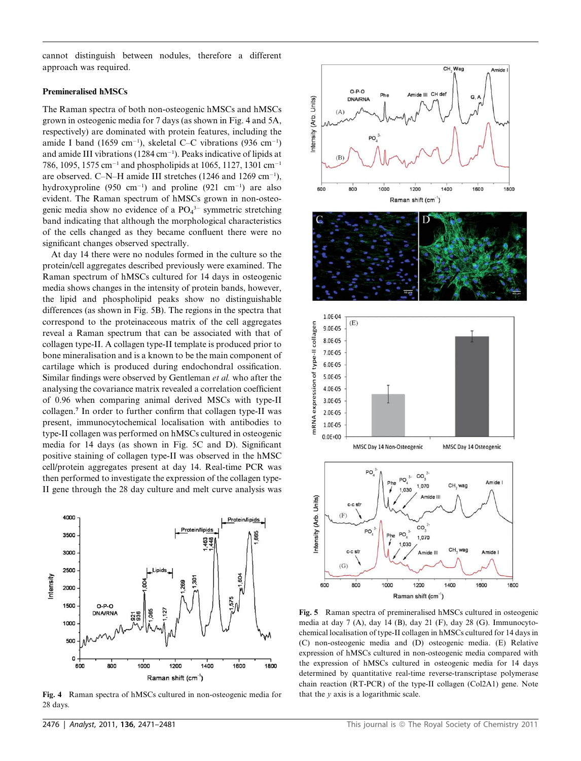cannot distinguish between nodules, therefore a different approach was required.

## Premineralised hMSCs

The Raman spectra of both non-osteogenic hMSCs and hMSCs grown in osteogenic media for 7 days (as shown in Fig. 4 and 5A, respectively) are dominated with protein features, including the amide I band (1659 cm<sup>-1</sup>), skeletal C-C vibrations (936 cm<sup>-1</sup>) and amide III vibrations (1284 cm $^{-1}$ ). Peaks indicative of lipids at 786, 1095, 1575 cm<sup>-1</sup> and phospholipids at 1065, 1127, 1301 cm<sup>-1</sup> are observed. C–N–H amide III stretches  $(1246 \text{ and } 1269 \text{ cm}^{-1})$ , hydroxyproline (950 cm<sup>-1</sup>) and proline (921 cm<sup>-1</sup>) are also evident. The Raman spectrum of hMSCs grown in non-osteogenic media show no evidence of a  $PO<sub>4</sub><sup>3-</sup>$  symmetric stretching band indicating that although the morphological characteristics of the cells changed as they became confluent there were no significant changes observed spectrally.

At day 14 there were no nodules formed in the culture so the protein/cell aggregates described previously were examined. The Raman spectrum of hMSCs cultured for 14 days in osteogenic media shows changes in the intensity of protein bands, however, the lipid and phospholipid peaks show no distinguishable differences (as shown in Fig. 5B). The regions in the spectra that correspond to the proteinaceous matrix of the cell aggregates reveal a Raman spectrum that can be associated with that of collagen type-II. A collagen type-II template is produced prior to bone mineralisation and is a known to be the main component of cartilage which is produced during endochondral ossification. Similar findings were observed by Gentleman et al. who after the analysing the covariance matrix revealed a correlation coefficient of 0.96 when comparing animal derived MSCs with type-II collagen.<sup>7</sup> In order to further confirm that collagen type-II was present, immunocytochemical localisation with antibodies to type-II collagen was performed on hMSCs cultured in osteogenic media for 14 days (as shown in Fig. 5C and D). Significant positive staining of collagen type-II was observed in the hMSC cell/protein aggregates present at day 14. Real-time PCR was then performed to investigate the expression of the collagen type-II gene through the 28 day culture and melt curve analysis was



Fig. 4 Raman spectra of hMSCs cultured in non-osteogenic media for 28 days.



Fig. 5 Raman spectra of premineralised hMSCs cultured in osteogenic media at day 7 (A), day 14 (B), day 21 (F), day 28 (G). Immunocytochemical localisation of type-II collagen in hMSCs cultured for 14 days in (C) non-osteogenic media and (D) osteogenic media. (E) Relative expression of hMSCs cultured in non-osteogenic media compared with the expression of hMSCs cultured in osteogenic media for 14 days determined by quantitative real-time reverse-transcriptase polymerase chain reaction (RT-PCR) of the type-II collagen (Col2A1) gene. Note that the  $y$  axis is a logarithmic scale.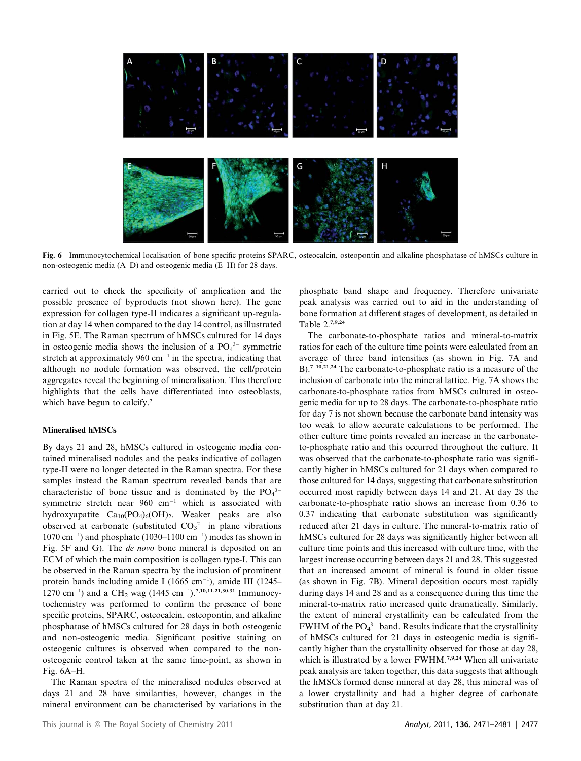

Fig. 6 Immunocytochemical localisation of bone specific proteins SPARC, osteocalcin, osteopontin and alkaline phosphatase of hMSCs culture in non-osteogenic media (A–D) and osteogenic media (E–H) for 28 days.

carried out to check the specificity of amplication and the possible presence of byproducts (not shown here). The gene expression for collagen type-II indicates a significant up-regulation at day 14 when compared to the day 14 control, as illustrated in Fig. 5E. The Raman spectrum of hMSCs cultured for 14 days in osteogenic media shows the inclusion of a  $PO<sub>4</sub><sup>3-</sup>$  symmetric stretch at approximately 960 cm<sup>-1</sup> in the spectra, indicating that although no nodule formation was observed, the cell/protein aggregates reveal the beginning of mineralisation. This therefore highlights that the cells have differentiated into osteoblasts, which have begun to calcify.<sup>7</sup>

## Mineralised hMSCs

By days 21 and 28, hMSCs cultured in osteogenic media contained mineralised nodules and the peaks indicative of collagen type-II were no longer detected in the Raman spectra. For these samples instead the Raman spectrum revealed bands that are characteristic of bone tissue and is dominated by the  $PO_4^{3-}$ symmetric stretch near  $960 \text{ cm}^{-1}$  which is associated with hydroxyapatite  $Ca_{10}(PO_4)_6(OH)_2$ . Weaker peaks are also observed at carbonate (substituted  $CO<sub>3</sub><sup>2-</sup>$  in plane vibrations  $1070 \text{ cm}^{-1}$ ) and phosphate (1030–1100 cm<sup>-1</sup>) modes (as shown in Fig. 5F and G). The de novo bone mineral is deposited on an ECM of which the main composition is collagen type-I. This can be observed in the Raman spectra by the inclusion of prominent protein bands including amide I ( $1665 \text{ cm}^{-1}$ ), amide III ( $1245-$ 1270 cm<sup>-1</sup>) and a CH<sub>2</sub> wag (1445 cm<sup>-1</sup>).<sup>7,10,11,21,30,31</sup> Immunocytochemistry was performed to confirm the presence of bone specific proteins, SPARC, osteocalcin, osteopontin, and alkaline phosphatase of hMSCs cultured for 28 days in both osteogenic and non-osteogenic media. Significant positive staining on osteogenic cultures is observed when compared to the nonosteogenic control taken at the same time-point, as shown in Fig. 6A–H.

The Raman spectra of the mineralised nodules observed at days 21 and 28 have similarities, however, changes in the mineral environment can be characterised by variations in the

phosphate band shape and frequency. Therefore univariate peak analysis was carried out to aid in the understanding of bone formation at different stages of development, as detailed in Table 2.7,9,24

The carbonate-to-phosphate ratios and mineral-to-matrix ratios for each of the culture time points were calculated from an average of three band intensities (as shown in Fig. 7A and B).7–10,21,24 The carbonate-to-phosphate ratio is a measure of the inclusion of carbonate into the mineral lattice. Fig. 7A shows the carbonate-to-phosphate ratios from hMSCs cultured in osteogenic media for up to 28 days. The carbonate-to-phosphate ratio for day 7 is not shown because the carbonate band intensity was too weak to allow accurate calculations to be performed. The other culture time points revealed an increase in the carbonateto-phosphate ratio and this occurred throughout the culture. It was observed that the carbonate-to-phosphate ratio was significantly higher in hMSCs cultured for 21 days when compared to those cultured for 14 days, suggesting that carbonate substitution occurred most rapidly between days 14 and 21. At day 28 the carbonate-to-phosphate ratio shows an increase from 0.36 to 0.37 indicating that carbonate substitution was significantly reduced after 21 days in culture. The mineral-to-matrix ratio of hMSCs cultured for 28 days was significantly higher between all culture time points and this increased with culture time, with the largest increase occurring between days 21 and 28. This suggested that an increased amount of mineral is found in older tissue (as shown in Fig. 7B). Mineral deposition occurs most rapidly during days 14 and 28 and as a consequence during this time the mineral-to-matrix ratio increased quite dramatically. Similarly, the extent of mineral crystallinity can be calculated from the FWHM of the  $PO<sub>4</sub><sup>3-</sup>$  band. Results indicate that the crystallinity of hMSCs cultured for 21 days in osteogenic media is significantly higher than the crystallinity observed for those at day 28, which is illustrated by a lower FWHM.<sup>7,9,24</sup> When all univariate peak analysis are taken together, this data suggests that although the hMSCs formed dense mineral at day 28, this mineral was of a lower crystallinity and had a higher degree of carbonate substitution than at day 21.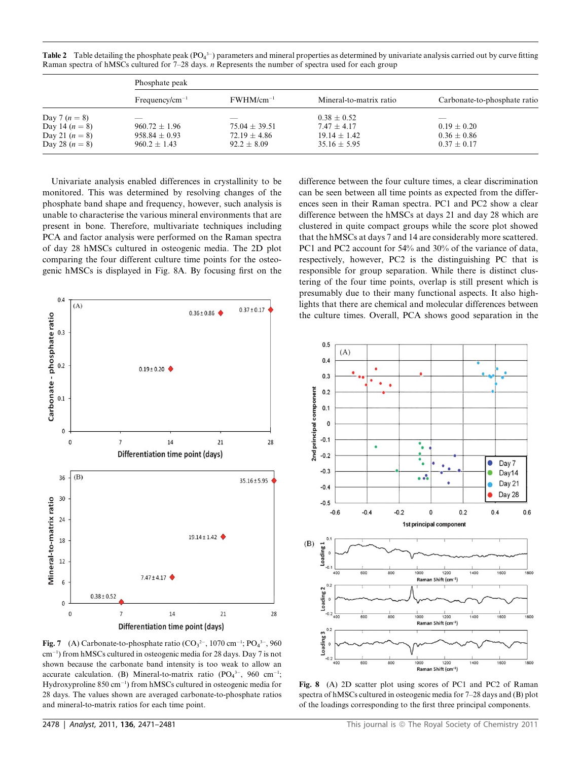|                  | Phosphate peak      |                   |                         |                              |  |
|------------------|---------------------|-------------------|-------------------------|------------------------------|--|
|                  | $Frequency/cm^{-1}$ | $FWHM/cm^{-1}$    | Mineral-to-matrix ratio | Carbonate-to-phosphate ratio |  |
| Day 7 $(n = 8)$  | _                   |                   | $0.38 \pm 0.52$         |                              |  |
| Day 14 $(n = 8)$ | $960.72 \pm 1.96$   | $75.04 \pm 39.51$ | $7.47 \pm 4.17$         | $0.19 + 0.20$                |  |
| Day 21 $(n = 8)$ | $958.84 \pm 0.93$   | $72.19 \pm 4.86$  | $19.14 \pm 1.42$        | $0.36 \pm 0.86$              |  |
| Day 28 $(n = 8)$ | $960.2 \pm 1.43$    | $92.2 \pm 8.09$   | $35.16 \pm 5.95$        | $0.37 \pm 0.17$              |  |

**Table 2** Table detailing the phosphate peak  $(PO<sub>4</sub><sup>3-</sup>)$  parameters and mineral properties as determined by univariate analysis carried out by curve fitting Raman spectra of hMSCs cultured for  $7-28$  days. *n* Represents the number of spectra used for each group

Univariate analysis enabled differences in crystallinity to be monitored. This was determined by resolving changes of the phosphate band shape and frequency, however, such analysis is unable to characterise the various mineral environments that are present in bone. Therefore, multivariate techniques including PCA and factor analysis were performed on the Raman spectra of day 28 hMSCs cultured in osteogenic media. The 2D plot comparing the four different culture time points for the osteogenic hMSCs is displayed in Fig. 8A. By focusing first on the



**Fig. 7** (A) Carbonate-to-phosphate ratio ( $CO<sub>3</sub><sup>2</sup>$ -, 1070 cm<sup>-1</sup>; PO<sub>4</sub><sup>3-</sup>, 960 cm<sup>-1</sup>) from hMSCs cultured in osteogenic media for 28 days. Day 7 is not shown because the carbonate band intensity is too weak to allow an accurate calculation. (B) Mineral-to-matrix ratio  $(PO<sub>4</sub><sup>3-</sup>, 960 cm<sup>-1</sup>;$ Hydroxyproline 850 cm<sup>-1</sup>) from hMSCs cultured in osteogenic media for 28 days. The values shown are averaged carbonate-to-phosphate ratios and mineral-to-matrix ratios for each time point.

difference between the four culture times, a clear discrimination can be seen between all time points as expected from the differences seen in their Raman spectra. PC1 and PC2 show a clear difference between the hMSCs at days 21 and day 28 which are clustered in quite compact groups while the score plot showed that the hMSCs at days 7 and 14 are considerably more scattered. PC1 and PC2 account for 54% and 30% of the variance of data, respectively, however, PC2 is the distinguishing PC that is responsible for group separation. While there is distinct clustering of the four time points, overlap is still present which is presumably due to their many functional aspects. It also highlights that there are chemical and molecular differences between the culture times. Overall, PCA shows good separation in the



Fig. 8 (A) 2D scatter plot using scores of PC1 and PC2 of Raman spectra of hMSCs cultured in osteogenic media for 7–28 days and (B) plot of the loadings corresponding to the first three principal components.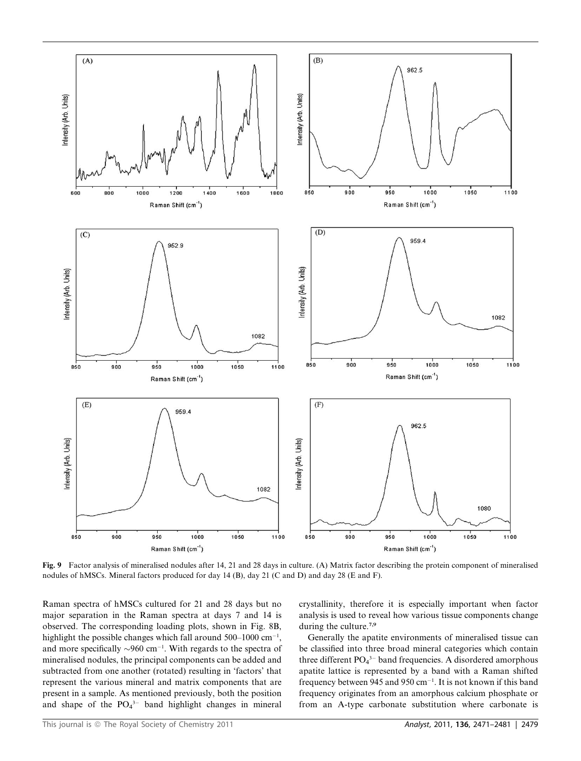

Fig. 9 Factor analysis of mineralised nodules after 14, 21 and 28 days in culture. (A) Matrix factor describing the protein component of mineralised nodules of hMSCs. Mineral factors produced for day 14 (B), day 21 (C and D) and day 28 (E and F).

Raman spectra of hMSCs cultured for 21 and 28 days but no major separation in the Raman spectra at days 7 and 14 is observed. The corresponding loading plots, shown in Fig. 8B, highlight the possible changes which fall around  $500-1000$  cm<sup>-1</sup>, and more specifically  $\sim 960$  cm<sup>-1</sup>. With regards to the spectra of mineralised nodules, the principal components can be added and subtracted from one another (rotated) resulting in 'factors' that represent the various mineral and matrix components that are present in a sample. As mentioned previously, both the position and shape of the  $PO_4^{3-}$  band highlight changes in mineral

crystallinity, therefore it is especially important when factor analysis is used to reveal how various tissue components change during the culture.7,9

Generally the apatite environments of mineralised tissue can be classified into three broad mineral categories which contain three different  $PO<sub>4</sub><sup>3-</sup>$  band frequencies. A disordered amorphous apatite lattice is represented by a band with a Raman shifted frequency between 945 and 950 cm<sup>-1</sup>. It is not known if this band frequency originates from an amorphous calcium phosphate or from an A-type carbonate substitution where carbonate is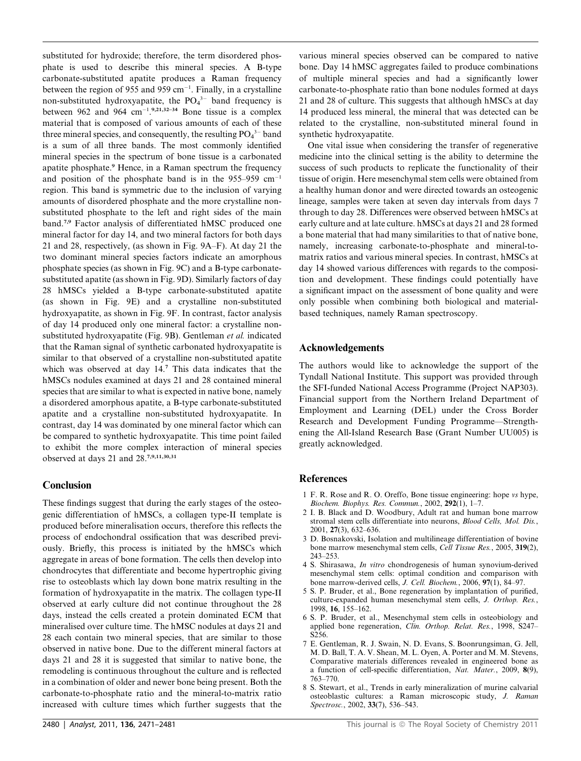substituted for hydroxide; therefore, the term disordered phosphate is used to describe this mineral species. A B-type carbonate-substituted apatite produces a Raman frequency between the region of 955 and 959  $cm^{-1}$ . Finally, in a crystalline non-substituted hydroxyapatite, the  $PO<sub>4</sub><sup>3-</sup>$  band frequency is between  $962$  and  $964 \text{ cm}^{-1}$ .  $9,21,32-34$  Bone tissue is a complex material that is composed of various amounts of each of these three mineral species, and consequently, the resulting  $PO_4^3$  band is a sum of all three bands. The most commonly identified mineral species in the spectrum of bone tissue is a carbonated apatite phosphate.<sup>9</sup> Hence, in a Raman spectrum the frequency and position of the phosphate band is in the  $955-959$  cm<sup>-1</sup> region. This band is symmetric due to the inclusion of varying amounts of disordered phosphate and the more crystalline nonsubstituted phosphate to the left and right sides of the main band.7,9 Factor analysis of differentiated hMSC produced one mineral factor for day 14, and two mineral factors for both days 21 and 28, respectively, (as shown in Fig. 9A–F). At day 21 the two dominant mineral species factors indicate an amorphous phosphate species (as shown in Fig. 9C) and a B-type carbonatesubstituted apatite (as shown in Fig. 9D). Similarly factors of day 28 hMSCs yielded a B-type carbonate-substituted apatite (as shown in Fig. 9E) and a crystalline non-substituted hydroxyapatite, as shown in Fig. 9F. In contrast, factor analysis of day 14 produced only one mineral factor: a crystalline nonsubstituted hydroxyapatite (Fig. 9B). Gentleman et al. indicated that the Raman signal of synthetic carbonated hydroxyapatite is similar to that observed of a crystalline non-substituted apatite which was observed at day 14.<sup>7</sup> This data indicates that the hMSCs nodules examined at days 21 and 28 contained mineral species that are similar to what is expected in native bone, namely a disordered amorphous apatite, a B-type carbonate-substituted apatite and a crystalline non-substituted hydroxyapatite. In contrast, day 14 was dominated by one mineral factor which can be compared to synthetic hydroxyapatite. This time point failed to exhibit the more complex interaction of mineral species observed at days 21 and 28.7,9,11,30,31

## **Conclusion**

These findings suggest that during the early stages of the osteogenic differentiation of hMSCs, a collagen type-II template is produced before mineralisation occurs, therefore this reflects the process of endochondral ossification that was described previously. Briefly, this process is initiated by the hMSCs which aggregate in areas of bone formation. The cells then develop into chondrocytes that differentiate and become hypertrophic giving rise to osteoblasts which lay down bone matrix resulting in the formation of hydroxyapatite in the matrix. The collagen type-II observed at early culture did not continue throughout the 28 days, instead the cells created a protein dominated ECM that mineralised over culture time. The hMSC nodules at days 21 and 28 each contain two mineral species, that are similar to those observed in native bone. Due to the different mineral factors at days 21 and 28 it is suggested that similar to native bone, the remodeling is continuous throughout the culture and is reflected in a combination of older and newer bone being present. Both the carbonate-to-phosphate ratio and the mineral-to-matrix ratio increased with culture times which further suggests that the

various mineral species observed can be compared to native bone. Day 14 hMSC aggregates failed to produce combinations of multiple mineral species and had a significantly lower carbonate-to-phosphate ratio than bone nodules formed at days 21 and 28 of culture. This suggests that although hMSCs at day 14 produced less mineral, the mineral that was detected can be related to the crystalline, non-substituted mineral found in synthetic hydroxyapatite.

One vital issue when considering the transfer of regenerative medicine into the clinical setting is the ability to determine the success of such products to replicate the functionality of their tissue of origin. Here mesenchymal stem cells were obtained from a healthy human donor and were directed towards an osteogenic lineage, samples were taken at seven day intervals from days 7 through to day 28. Differences were observed between hMSCs at early culture and at late culture. hMSCs at days 21 and 28 formed a bone material that had many similarities to that of native bone, namely, increasing carbonate-to-phosphate and mineral-tomatrix ratios and various mineral species. In contrast, hMSCs at day 14 showed various differences with regards to the composition and development. These findings could potentially have a significant impact on the assessment of bone quality and were only possible when combining both biological and materialbased techniques, namely Raman spectroscopy.

# Acknowledgements

The authors would like to acknowledge the support of the Tyndall National Institute. This support was provided through the SFI-funded National Access Programme (Project NAP303). Financial support from the Northern Ireland Department of Employment and Learning (DEL) under the Cross Border Research and Development Funding Programme—Strengthening the All-Island Research Base (Grant Number UU005) is greatly acknowledged.

# References

- 1 F. R. Rose and R. O. Oreffo, Bone tissue engineering: hope vs hype, Biochem. Biophys. Res. Commun., 2002, 292(1), 1–7.
- 2 I. B. Black and D. Woodbury, Adult rat and human bone marrow stromal stem cells differentiate into neurons, Blood Cells, Mol. Dis., 2001, 27(3), 632–636.
- 3 D. Bosnakovski, Isolation and multilineage differentiation of bovine bone marrow mesenchymal stem cells, Cell Tissue Res., 2005, 319(2), 243–253.
- 4 S. Shirasawa, In vitro chondrogenesis of human synovium-derived mesenchymal stem cells: optimal condition and comparison with bone marrow-derived cells, J. Cell. Biochem., 2006, 97(1), 84–97.
- 5 S. P. Bruder, et al., Bone regeneration by implantation of purified, culture-expanded human mesenchymal stem cells, J. Orthop. Res., 1998, 16, 155–162.
- 6 S. P. Bruder, et al., Mesenchymal stem cells in osteobiology and applied bone regeneration, Clin. Orthop. Relat. Res., 1998, S247– S256.
- 7 E. Gentleman, R. J. Swain, N. D. Evans, S. Boonrungsiman, G. Jell, M. D. Ball, T. A. V. Shean, M. L. Oyen, A. Porter and M. M. Stevens, Comparative materials differences revealed in engineered bone as a function of cell-specific differentiation, Nat. Mater., 2009, 8(9), 763–770.
- 8 S. Stewart, et al., Trends in early mineralization of murine calvarial osteoblastic cultures: a Raman microscopic study, J. Raman Spectrosc., 2002, 33(7), 536–543.